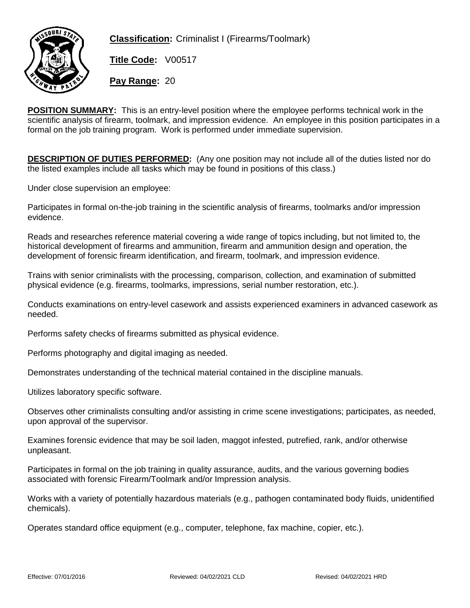

**Classification:** Criminalist I (Firearms/Toolmark)

**Title Code:** V00517

**Pay Range:** 20

POSITION SUMMARY: This is an entry-level position where the employee performs technical work in the scientific analysis of firearm, toolmark, and impression evidence. An employee in this position participates in a formal on the job training program. Work is performed under immediate supervision.

DESCRIPTION OF DUTIES PERFORMED: (Any one position may not include all of the duties listed nor do the listed examples include all tasks which may be found in positions of this class.)

Under close supervision an employee:

Participates in formal on-the-job training in the scientific analysis of firearms, toolmarks and/or impression evidence.

Reads and researches reference material covering a wide range of topics including, but not limited to, the historical development of firearms and ammunition, firearm and ammunition design and operation, the development of forensic firearm identification, and firearm, toolmark, and impression evidence.

Trains with senior criminalists with the processing, comparison, collection, and examination of submitted physical evidence (e.g. firearms, toolmarks, impressions, serial number restoration, etc.).

Conducts examinations on entry-level casework and assists experienced examiners in advanced casework as needed.

Performs safety checks of firearms submitted as physical evidence.

Performs photography and digital imaging as needed.

Demonstrates understanding of the technical material contained in the discipline manuals.

Utilizes laboratory specific software.

Observes other criminalists consulting and/or assisting in crime scene investigations; participates, as needed, upon approval of the supervisor.

Examines forensic evidence that may be soil laden, maggot infested, putrefied, rank, and/or otherwise unpleasant.

Participates in formal on the job training in quality assurance, audits, and the various governing bodies associated with forensic Firearm/Toolmark and/or Impression analysis.

Works with a variety of potentially hazardous materials (e.g., pathogen contaminated body fluids, unidentified chemicals).

Operates standard office equipment (e.g., computer, telephone, fax machine, copier, etc.).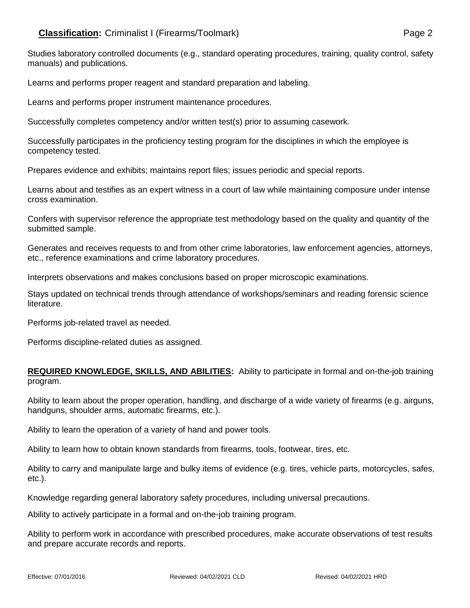## **Classification:** Criminalist I (Firearms/Toolmark) **Page 2** Page 2

Studies laboratory controlled documents (e.g., standard operating procedures, training, quality control, safety manuals) and publications.

Learns and performs proper reagent and standard preparation and labeling.

Learns and performs proper instrument maintenance procedures.

Successfully completes competency and/or written test(s) prior to assuming casework.

Successfully participates in the proficiency testing program for the disciplines in which the employee is competency tested.

Prepares evidence and exhibits; maintains report files; issues periodic and special reports.

Learns about and testifies as an expert witness in a court of law while maintaining composure under intense cross examination.

Confers with supervisor reference the appropriate test methodology based on the quality and quantity of the submitted sample.

Generates and receives requests to and from other crime laboratories, law enforcement agencies, attorneys, etc., reference examinations and crime laboratory procedures.

Interprets observations and makes conclusions based on proper microscopic examinations.

Stays updated on technical trends through attendance of workshops/seminars and reading forensic science literature.

Performs job-related travel as needed.

Performs discipline-related duties as assigned.

## REQUIRED KNOWLEDGE, SKILLS, AND ABILITIES: Ability to participate in formal and on-the-job training program.

Ability to learn about the proper operation, handling, and discharge of a wide variety of firearms (e.g. airguns, handguns, shoulder arms, automatic firearms, etc.).

Ability to learn the operation of a variety of hand and power tools.

Ability to learn how to obtain known standards from firearms, tools, footwear, tires, etc.

Ability to carry and manipulate large and bulky items of evidence (e.g. tires, vehicle parts, motorcycles, safes, etc.).

Knowledge regarding general laboratory safety procedures, including universal precautions.

Ability to actively participate in a formal and on-the-job training program.

Ability to perform work in accordance with prescribed procedures, make accurate observations of test results and prepare accurate records and reports.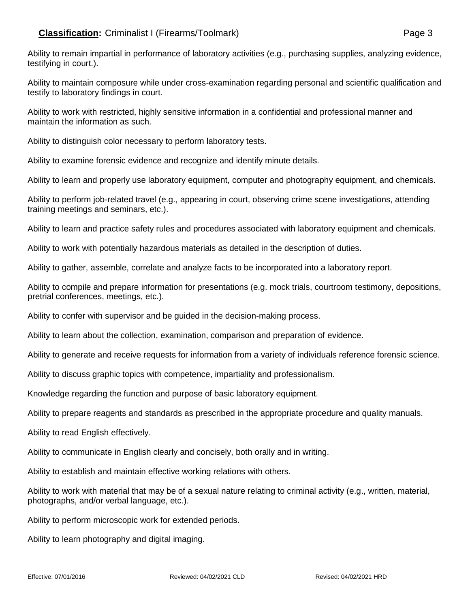Ability to remain impartial in performance of laboratory activities (e.g., purchasing supplies, analyzing evidence, testifying in court.).

Ability to maintain composure while under cross-examination regarding personal and scientific qualification and testify to laboratory findings in court.

Ability to work with restricted, highly sensitive information in a confidential and professional manner and maintain the information as such.

Ability to distinguish color necessary to perform laboratory tests.

Ability to examine forensic evidence and recognize and identify minute details.

Ability to learn and properly use laboratory equipment, computer and photography equipment, and chemicals.

Ability to perform job-related travel (e.g., appearing in court, observing crime scene investigations, attending training meetings and seminars, etc.).

Ability to learn and practice safety rules and procedures associated with laboratory equipment and chemicals.

Ability to work with potentially hazardous materials as detailed in the description of duties.

Ability to gather, assemble, correlate and analyze facts to be incorporated into a laboratory report.

Ability to compile and prepare information for presentations (e.g. mock trials, courtroom testimony, depositions, pretrial conferences, meetings, etc.).

Ability to confer with supervisor and be guided in the decision-making process.

Ability to learn about the collection, examination, comparison and preparation of evidence.

Ability to generate and receive requests for information from a variety of individuals reference forensic science.

Ability to discuss graphic topics with competence, impartiality and professionalism.

Knowledge regarding the function and purpose of basic laboratory equipment.

Ability to prepare reagents and standards as prescribed in the appropriate procedure and quality manuals.

Ability to read English effectively.

Ability to communicate in English clearly and concisely, both orally and in writing.

Ability to establish and maintain effective working relations with others.

Ability to work with material that may be of a sexual nature relating to criminal activity (e.g., written, material, photographs, and/or verbal language, etc.).

Ability to perform microscopic work for extended periods.

Ability to learn photography and digital imaging.